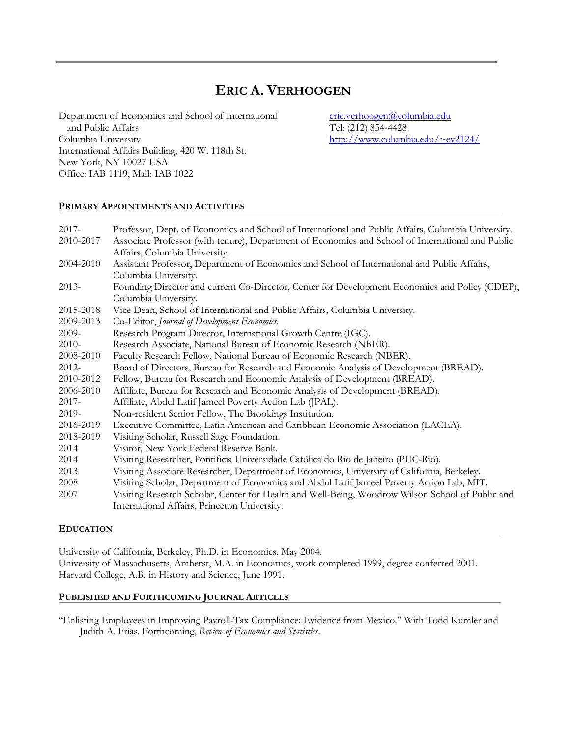# **ERIC A. VERHOOGEN**

Department of Economics and School of International [eric.verhoogen@columbia.edu](mailto:eric.verhoogen@columbia.edu) and Public Affairs Tel: (212) 854-4428 Columbia University [http://www.columbia.edu/~ev2124/](http://www.columbia.edu/%7Eev2124/) International Affairs Building, 420 W. 118th St. New York, NY 10027 USA Office: IAB 1119, Mail: IAB 1022

# **PRIMARY APPOINTMENTS AND ACTIVITIES**

| $2017 -$  | Professor, Dept. of Economics and School of International and Public Affairs, Columbia University. |
|-----------|----------------------------------------------------------------------------------------------------|
| 2010-2017 | Associate Professor (with tenure), Department of Economics and School of International and Public  |
|           | Affairs, Columbia University.                                                                      |
| 2004-2010 | Assistant Professor, Department of Economics and School of International and Public Affairs,       |
|           | Columbia University.                                                                               |
| $2013-$   | Founding Director and current Co-Director, Center for Development Economics and Policy (CDEP),     |
|           | Columbia University.                                                                               |
| 2015-2018 | Vice Dean, School of International and Public Affairs, Columbia University.                        |
| 2009-2013 | Co-Editor, Journal of Development Economics.                                                       |
| 2009-     | Research Program Director, International Growth Centre (IGC).                                      |
| $2010-$   | Research Associate, National Bureau of Economic Research (NBER).                                   |
| 2008-2010 | Faculty Research Fellow, National Bureau of Economic Research (NBER).                              |
| $2012 -$  | Board of Directors, Bureau for Research and Economic Analysis of Development (BREAD).              |
| 2010-2012 | Fellow, Bureau for Research and Economic Analysis of Development (BREAD).                          |
| 2006-2010 | Affiliate, Bureau for Research and Economic Analysis of Development (BREAD).                       |
| $2017 -$  | Affiliate, Abdul Latif Jameel Poverty Action Lab (JPAL).                                           |
| 2019-     | Non-resident Senior Fellow, The Brookings Institution.                                             |
| 2016-2019 | Executive Committee, Latin American and Caribbean Economic Association (LACEA).                    |
| 2018-2019 | Visiting Scholar, Russell Sage Foundation.                                                         |
| 2014      | Visitor, New York Federal Reserve Bank.                                                            |
| 2014      | Visiting Researcher, Pontifícia Universidade Católica do Rio de Janeiro (PUC-Rio).                 |
| 2013      | Visiting Associate Researcher, Department of Economics, University of California, Berkeley.        |
| 2008      | Visiting Scholar, Department of Economics and Abdul Latif Jameel Poverty Action Lab, MIT.          |
| 2007      | Visiting Research Scholar, Center for Health and Well-Being, Woodrow Wilson School of Public and   |
|           | International Affairs, Princeton University.                                                       |

# **EDUCATION**

University of California, Berkeley, Ph.D. in Economics, May 2004. University of Massachusetts, Amherst, M.A. in Economics, work completed 1999, degree conferred 2001. Harvard College, A.B. in History and Science, June 1991.

# **PUBLISHED AND FORTHCOMING JOURNAL ARTICLES**

"Enlisting Employees in Improving Payroll-Tax Compliance: Evidence from Mexico." With Todd Kumler and Judith A. Frías. Forthcoming, *Review of Economics and Statistics*.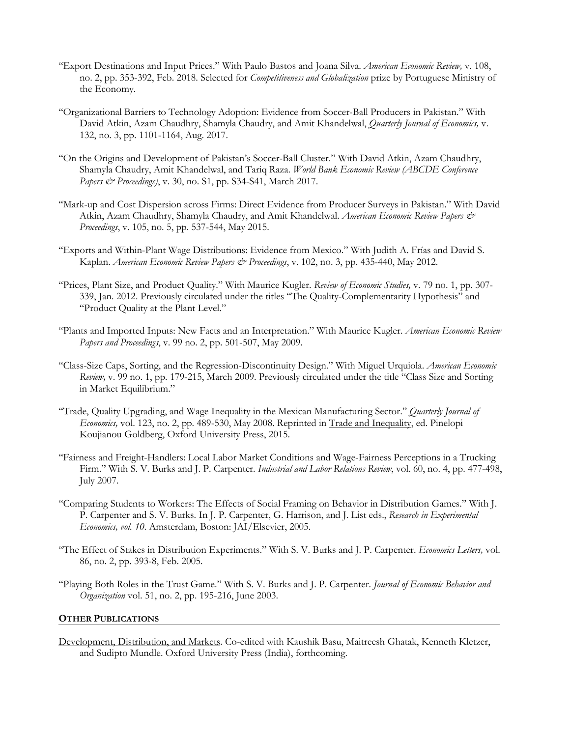- "Export Destinations and Input Prices." With Paulo Bastos and Joana Silva. *American Economic Review,* v. 108, no. 2, pp. 353-392, Feb. 2018. Selected for *Competitiveness and Globalization* prize by Portuguese Ministry of the Economy.
- "Organizational Barriers to Technology Adoption: Evidence from Soccer-Ball Producers in Pakistan." With David Atkin, Azam Chaudhry, Shamyla Chaudry, and Amit Khandelwal, *Quarterly Journal of Economics,* v. 132, no. 3, pp. 1101-1164, Aug. 2017.
- "On the Origins and Development of Pakistan's Soccer-Ball Cluster." With David Atkin, Azam Chaudhry, Shamyla Chaudry, Amit Khandelwal, and Tariq Raza. *World Bank Economic Review (ABCDE Conference Papers & Proceedings)*, v. 30, no. S1, pp. S34-S41, March 2017.
- "Mark-up and Cost Dispersion across Firms: Direct Evidence from Producer Surveys in Pakistan." With David Atkin, Azam Chaudhry, Shamyla Chaudry, and Amit Khandelwal. *American Economic Review Papers & Proceedings*, v. 105, no. 5, pp. 537-544, May 2015.
- "Exports and Within-Plant Wage Distributions: Evidence from Mexico." With Judith A. Frías and David S. Kaplan. *American Economic Review Papers & Proceedings*, v. 102, no. 3, pp. 435-440, May 2012.
- "Prices, Plant Size, and Product Quality." With Maurice Kugler. *Review of Economic Studies,* v. 79 no. 1, pp. 307- 339, Jan. 2012. Previously circulated under the titles "The Quality-Complementarity Hypothesis" and "Product Quality at the Plant Level."
- "Plants and Imported Inputs: New Facts and an Interpretation." With Maurice Kugler. *American Economic Review Papers and Proceedings*, v. 99 no. 2, pp. 501-507, May 2009.
- "Class-Size Caps, Sorting, and the Regression-Discontinuity Design." With Miguel Urquiola. *American Economic Review,* v. 99 no. 1, pp. 179-215, March 2009. Previously circulated under the title "Class Size and Sorting in Market Equilibrium."
- "Trade, Quality Upgrading, and Wage Inequality in the Mexican Manufacturing Sector." *Quarterly Journal of Economics,* vol. 123, no. 2, pp. 489-530, May 2008. Reprinted in Trade and Inequality, ed. Pinelopi Koujianou Goldberg, Oxford University Press, 2015.
- "Fairness and Freight-Handlers: Local Labor Market Conditions and Wage-Fairness Perceptions in a Trucking Firm." With S. V. Burks and J. P. Carpenter. *Industrial and Labor Relations Review*, vol. 60, no. 4, pp. 477-498, July 2007.
- "Comparing Students to Workers: The Effects of Social Framing on Behavior in Distribution Games." With J. P. Carpenter and S. V. Burks. In J. P. Carpenter, G. Harrison, and J. List eds., *Research in Experimental Economics, vol. 10*. Amsterdam, Boston: JAI/Elsevier, 2005.
- "The Effect of Stakes in Distribution Experiments." With S. V. Burks and J. P. Carpenter. *Economics Letters,* vol. 86, no. 2, pp. 393-8, Feb. 2005.
- "Playing Both Roles in the Trust Game." With S. V. Burks and J. P. Carpenter. *Journal of Economic Behavior and Organization* vol. 51, no. 2, pp. 195-216, June 2003.

#### **OTHER PUBLICATIONS**

Development, Distribution, and Markets. Co-edited with Kaushik Basu, Maitreesh Ghatak, Kenneth Kletzer, and Sudipto Mundle. Oxford University Press (India), forthcoming.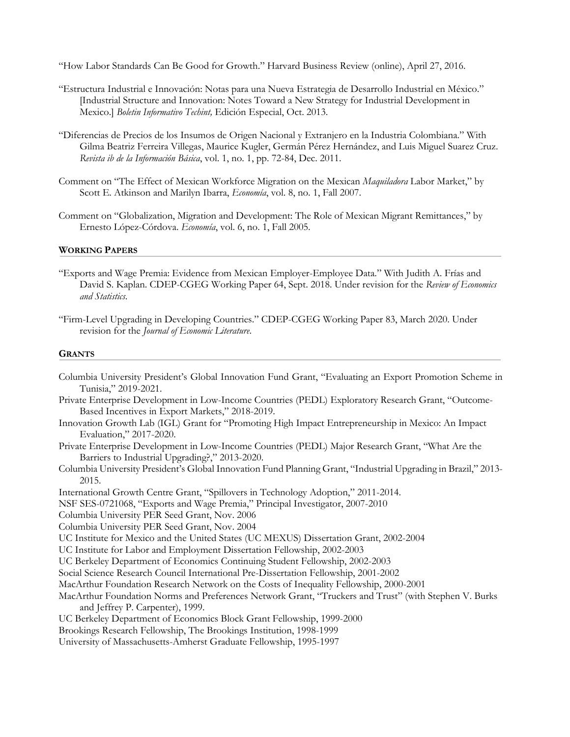"How Labor Standards Can Be Good for Growth." Harvard Business Review (online), April 27, 2016.

- "Estructura Industrial e Innovación: Notas para una Nueva Estrategia de Desarrollo Industrial en México." [Industrial Structure and Innovation: Notes Toward a New Strategy for Industrial Development in Mexico.] *Boletin Informativo Techint,* Edición Especial, Oct. 2013.
- "Diferencias de Precios de los Insumos de Origen Nacional y Extranjero en la Industria Colombiana." With Gilma Beatriz Ferreira Villegas, Maurice Kugler, Germán Pérez Hernández, and Luis Miguel Suarez Cruz. *Revista ib de la Información Básica*, vol. 1, no. 1, pp. 72-84, Dec. 2011.
- Comment on "The Effect of Mexican Workforce Migration on the Mexican *Maquiladora* Labor Market," by Scott E. Atkinson and Marilyn Ibarra, *Economía*, vol. 8, no. 1, Fall 2007.
- Comment on "Globalization, Migration and Development: The Role of Mexican Migrant Remittances," by Ernesto López-Córdova. *Economía*, vol. 6, no. 1, Fall 2005.

#### **WORKING PAPERS**

- "Exports and Wage Premia: Evidence from Mexican Employer-Employee Data." With Judith A. Frías and David S. Kaplan. CDEP-CGEG Working Paper 64, Sept. 2018. Under revision for the *Review of Economics and Statistics*.
- "Firm-Level Upgrading in Developing Countries." CDEP-CGEG Working Paper 83, March 2020. Under revision for the *Journal of Economic Literature*.

#### **GRANTS**

- Columbia University President's Global Innovation Fund Grant, "Evaluating an Export Promotion Scheme in Tunisia," 2019-2021.
- Private Enterprise Development in Low-Income Countries (PEDL) Exploratory Research Grant, "Outcome-Based Incentives in Export Markets," 2018-2019.
- Innovation Growth Lab (IGL) Grant for "Promoting High Impact Entrepreneurship in Mexico: An Impact Evaluation," 2017-2020.
- Private Enterprise Development in Low-Income Countries (PEDL) Major Research Grant, "What Are the Barriers to Industrial Upgrading?," 2013-2020.
- Columbia University President's Global Innovation Fund Planning Grant, "Industrial Upgrading in Brazil," 2013- 2015.
- International Growth Centre Grant, "Spillovers in Technology Adoption," 2011-2014.
- NSF SES-0721068, "Exports and Wage Premia," Principal Investigator, 2007-2010
- Columbia University PER Seed Grant, Nov. 2006
- Columbia University PER Seed Grant, Nov. 2004
- UC Institute for Mexico and the United States (UC MEXUS) Dissertation Grant, 2002-2004
- UC Institute for Labor and Employment Dissertation Fellowship, 2002-2003
- UC Berkeley Department of Economics Continuing Student Fellowship, 2002-2003
- Social Science Research Council International Pre-Dissertation Fellowship, 2001-2002
- MacArthur Foundation Research Network on the Costs of Inequality Fellowship, 2000-2001
- MacArthur Foundation Norms and Preferences Network Grant, "Truckers and Trust" (with Stephen V. Burks and Jeffrey P. Carpenter), 1999.
- UC Berkeley Department of Economics Block Grant Fellowship, 1999-2000
- Brookings Research Fellowship, The Brookings Institution, 1998-1999
- University of Massachusetts-Amherst Graduate Fellowship, 1995-1997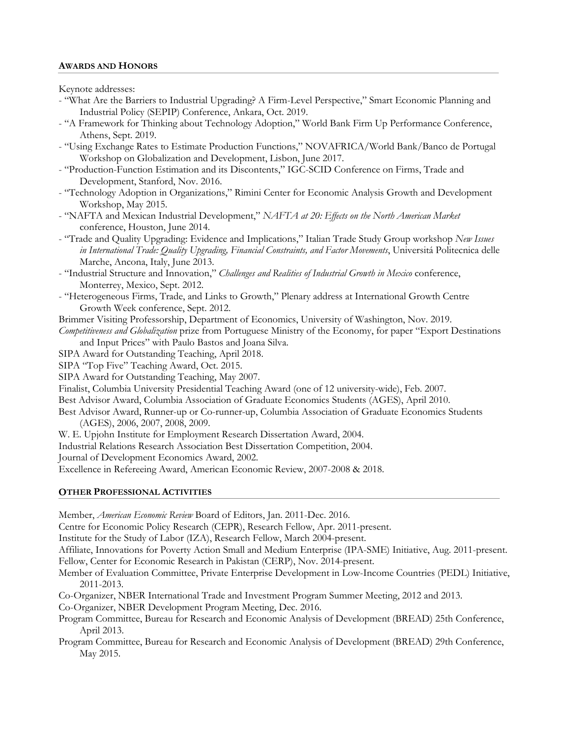## **AWARDS AND HONORS**

Keynote addresses:

- "What Are the Barriers to Industrial Upgrading? A Firm-Level Perspective," Smart Economic Planning and Industrial Policy (SEPIP) Conference, Ankara, Oct. 2019.
- "A Framework for Thinking about Technology Adoption," World Bank Firm Up Performance Conference, Athens, Sept. 2019.
- "Using Exchange Rates to Estimate Production Functions," NOVAFRICA/World Bank/Banco de Portugal Workshop on Globalization and Development, Lisbon, June 2017.
- "Production-Function Estimation and its Discontents," IGC-SCID Conference on Firms, Trade and Development, Stanford, Nov. 2016.
- "Technology Adoption in Organizations," Rimini Center for Economic Analysis Growth and Development Workshop, May 2015.
- "NAFTA and Mexican Industrial Development," *NAFTA at 20: Effects on the North American Market* conference, Houston, June 2014.
- "Trade and Quality Upgrading: Evidence and Implications," Italian Trade Study Group workshop *New Issues in International Trade: Quality Upgrading, Financial Constraints, and Factor Movements*, Universitá Politecnica delle Marche, Ancona, Italy, June 2013.
- "Industrial Structure and Innovation," *Challenges and Realities of Industrial Growth in Mexico* conference, Monterrey, Mexico, Sept. 2012.
- "Heterogeneous Firms, Trade, and Links to Growth," Plenary address at International Growth Centre Growth Week conference, Sept. 2012.
- Brimmer Visiting Professorship, Department of Economics, University of Washington, Nov. 2019.

*Competitiveness and Globalization* prize from Portuguese Ministry of the Economy, for paper "Export Destinations and Input Prices" with Paulo Bastos and Joana Silva.

SIPA Award for Outstanding Teaching, April 2018.

SIPA "Top Five" Teaching Award, Oct. 2015.

SIPA Award for Outstanding Teaching, May 2007.

Finalist, Columbia University Presidential Teaching Award (one of 12 university-wide), Feb. 2007.

Best Advisor Award, Columbia Association of Graduate Economics Students (AGES), April 2010.

- Best Advisor Award, Runner-up or Co-runner-up, Columbia Association of Graduate Economics Students (AGES), 2006, 2007, 2008, 2009.
- W. E. Upjohn Institute for Employment Research Dissertation Award, 2004.
- Industrial Relations Research Association Best Dissertation Competition, 2004.

Journal of Development Economics Award, 2002.

Excellence in Refereeing Award, American Economic Review, 2007-2008 & 2018.

# **OTHER PROFESSIONAL ACTIVITIES**

Member, *American Economic Review* Board of Editors, Jan. 2011-Dec. 2016.

Centre for Economic Policy Research (CEPR), Research Fellow, Apr. 2011-present.

Institute for the Study of Labor (IZA), Research Fellow, March 2004-present.

Affiliate, Innovations for Poverty Action Small and Medium Enterprise (IPA-SME) Initiative, Aug. 2011-present.

Fellow, Center for Economic Research in Pakistan (CERP), Nov. 2014-present.

Member of Evaluation Committee, Private Enterprise Development in Low-Income Countries (PEDL) Initiative, 2011-2013.

Co-Organizer, NBER International Trade and Investment Program Summer Meeting, 2012 and 2013.

Co-Organizer, NBER Development Program Meeting, Dec. 2016.

Program Committee, Bureau for Research and Economic Analysis of Development (BREAD) 25th Conference, April 2013.

Program Committee, Bureau for Research and Economic Analysis of Development (BREAD) 29th Conference, May 2015.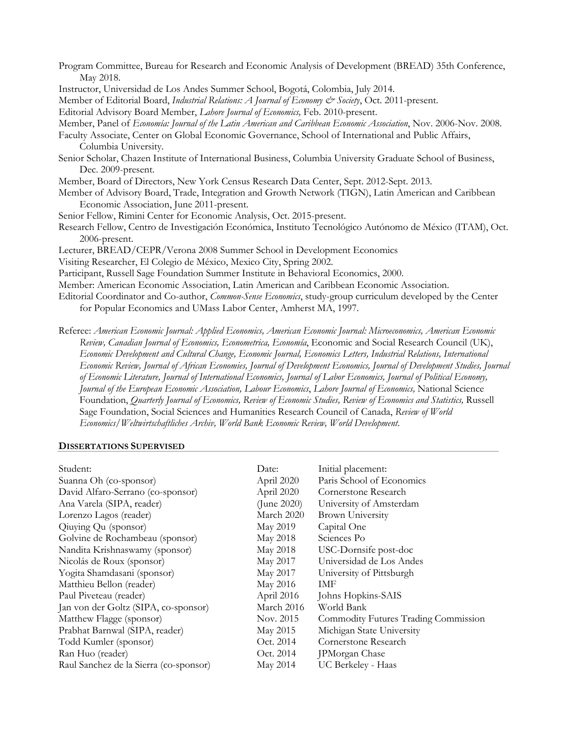| Program Committee, Bureau for Research and Economic Analysis of Development (BREAD) 35th Conference,                     |  |  |  |
|--------------------------------------------------------------------------------------------------------------------------|--|--|--|
| May 2018.                                                                                                                |  |  |  |
| Instructor, Universidad de Los Andes Summer School, Bogotá, Colombia, July 2014.                                         |  |  |  |
| Member of Editorial Board, Industrial Relations: A Journal of Economy & Society, Oct. 2011-present.                      |  |  |  |
| Editorial Advisory Board Member, Lahore Journal of Economics, Feb. 2010-present.                                         |  |  |  |
| Member, Panel of Economía: Journal of the Latin American and Caribbean Economic Association, Nov. 2006-Nov. 2008.        |  |  |  |
| Faculty Associate, Center on Global Economic Governance, School of International and Public Affairs,                     |  |  |  |
| Columbia University.                                                                                                     |  |  |  |
| Senior Scholar, Chazen Institute of International Business, Columbia University Graduate School of Business,             |  |  |  |
| Dec. 2009-present.                                                                                                       |  |  |  |
| Member, Board of Directors, New York Census Research Data Center, Sept. 2012-Sept. 2013.                                 |  |  |  |
| Member of Advisory Board, Trade, Integration and Growth Network (TIGN), Latin American and Caribbean                     |  |  |  |
| Economic Association, June 2011-present.                                                                                 |  |  |  |
| Senior Fellow, Rimini Center for Economic Analysis, Oct. 2015-present.                                                   |  |  |  |
| Research Fellow, Centro de Investigación Económica, Instituto Tecnológico Autónomo de México (ITAM), Oct.                |  |  |  |
| 2006-present.                                                                                                            |  |  |  |
| Lecturer, BREAD/CEPR/Verona 2008 Summer School in Development Economics                                                  |  |  |  |
| Visiting Researcher, El Colegio de México, Mexico City, Spring 2002.                                                     |  |  |  |
| Participant, Russell Sage Foundation Summer Institute in Behavioral Economics, 2000.                                     |  |  |  |
| Member: American Economic Association, Latin American and Caribbean Economic Association.                                |  |  |  |
| Editorial Coordinator and Co-author, Common-Sense Economics, study-group curriculum developed by the Center              |  |  |  |
| for Popular Economics and UMass Labor Center, Amherst MA, 1997.                                                          |  |  |  |
| Referee: American Economic Journal: Applied Economics, American Economic Journal: Microeconomics, American Economic      |  |  |  |
| Review, Canadian Journal of Economics, Econometrica, Economía, Economic and Social Research Council (UK),                |  |  |  |
| Economic Development and Cultural Change, Economic Journal, Economics Letters, Industrial Relations, International       |  |  |  |
| Economic Review, Journal of African Economies, Journal of Development Economics, Journal of Development Studies, Journal |  |  |  |
| of Economic Literature, Journal of International Economics, Journal of Labor Economics, Journal of Political Economy,    |  |  |  |
| Journal of the European Economic Association, Labour Economics, Lahore Journal of Economics, National Science            |  |  |  |

Foundation, *Quarterly Journal of Economics, Review of Economic Studies, Review of Economics and Statistics,* Russell Sage Foundation, Social Sciences and Humanities Research Council of Canada, *Review of World Economics/Weltwirtschaftliches Archiv, World Bank Economic Review, World Development*.

## **DISSERTATIONS SUPERVISED**

| Student:                               | Date:       | Initial placement:                   |
|----------------------------------------|-------------|--------------------------------------|
| Suanna Oh (co-sponsor)                 | April 2020  | Paris School of Economics            |
| David Alfaro-Serrano (co-sponsor)      | April 2020  | Cornerstone Research                 |
| Ana Varela (SIPA, reader)              | (June 2020) | University of Amsterdam              |
| Lorenzo Lagos (reader)                 | March 2020  | <b>Brown University</b>              |
| Qiuying Qu (sponsor)                   | May 2019    | Capital One                          |
| Golvine de Rochambeau (sponsor)        | May 2018    | Sciences Po                          |
| Nandita Krishnaswamy (sponsor)         | May 2018    | USC-Dornsife post-doc                |
| Nicolás de Roux (sponsor)              | May 2017    | Universidad de Los Andes             |
| Yogita Shamdasani (sponsor)            | May 2017    | University of Pittsburgh             |
| Matthieu Bellon (reader)               | May 2016    | IMF                                  |
| Paul Piveteau (reader)                 | April 2016  | Johns Hopkins-SAIS                   |
| Jan von der Goltz (SIPA, co-sponsor)   | March 2016  | World Bank                           |
| Matthew Flagge (sponsor)               | Nov. 2015   | Commodity Futures Trading Commission |
| Prabhat Barnwal (SIPA, reader)         | May 2015    | Michigan State University            |
| Todd Kumler (sponsor)                  | Oct. 2014   | Cornerstone Research                 |
| Ran Huo (reader)                       | Oct. 2014   | JPMorgan Chase                       |
| Raul Sanchez de la Sierra (co-sponsor) | May 2014    | UC Berkeley - Haas                   |